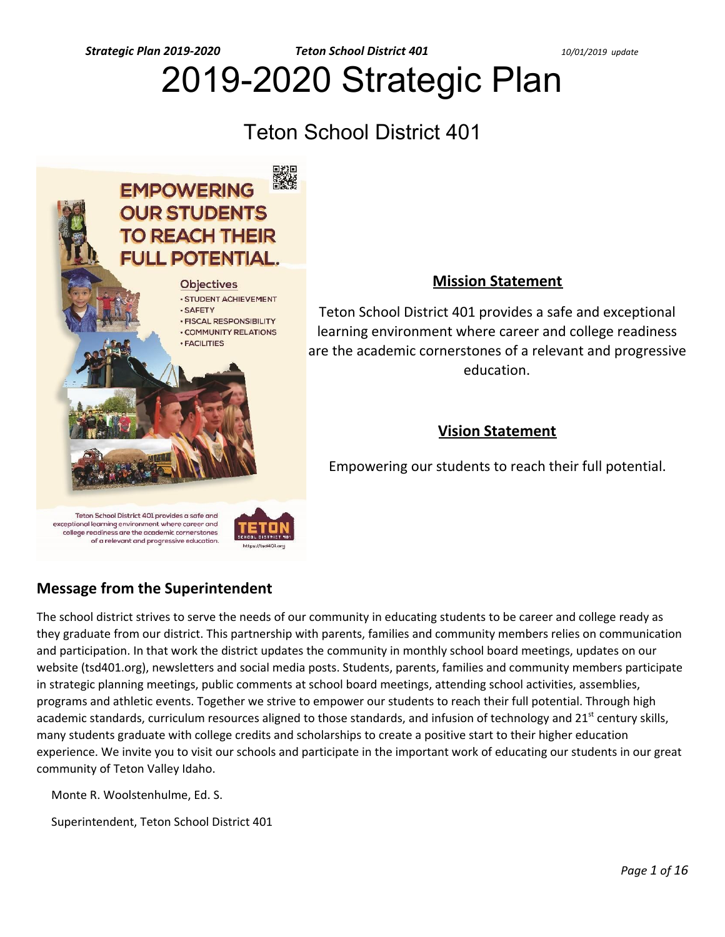*Strategic Plan 2019-2020 Teton School District 401 10/01/2019 update*

# 2019-2020 Strategic Plan

# Teton School District 401



# **Mission Statement**

Teton School District 401 provides a safe and exceptional learning environment where career and college readiness are the academic cornerstones of a relevant and progressive education.

# **Vision Statement**

Empowering our students to reach their full potential.

Teton School District 401 provides a safe and exceptional learning environment where career and college readiness are the academic cornerstones of a relevant and progressive education.



# **Message from the Superintendent**

The school district strives to serve the needs of our community in educating students to be career and college ready as they graduate from our district. This partnership with parents, families and community members relies on communication and participation. In that work the district updates the community in monthly school board meetings, updates on our website (tsd401.org), newsletters and social media posts. Students, parents, families and community members participate in strategic planning meetings, public comments at school board meetings, attending school activities, assemblies, programs and athletic events. Together we strive to empower our students to reach their full potential. Through high academic standards, curriculum resources aligned to those standards, and infusion of technology and 21<sup>st</sup> century skills, many students graduate with college credits and scholarships to create a positive start to their higher education experience. We invite you to visit our schools and participate in the important work of educating our students in our great community of Teton Valley Idaho.

Monte R. Woolstenhulme, Ed. S.

Superintendent, Teton School District 401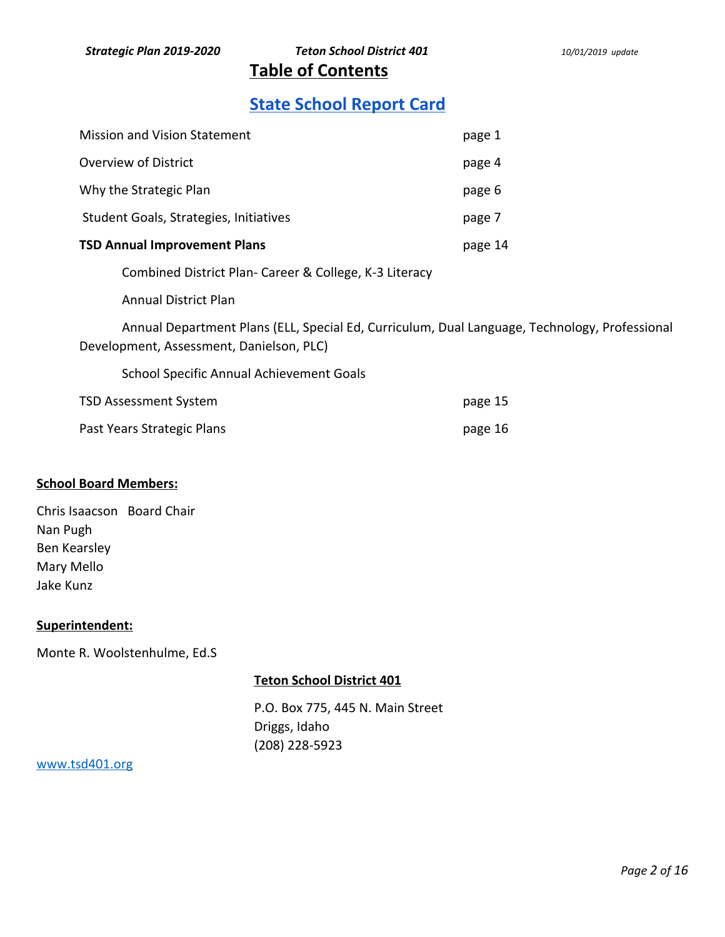**Table of Contents** 

# **[State School Report Card](http://apps.sde.idaho.gov/ReportCard/)**

| <b>Mission and Vision Statement</b>    | page 1  |
|----------------------------------------|---------|
| Overview of District                   | page 4  |
| Why the Strategic Plan                 | page 6  |
| Student Goals, Strategies, Initiatives | page 7  |
| <b>TSD Annual Improvement Plans</b>    | page 14 |
|                                        |         |

Combined District Plan- Career & College, K-3 Literacy

Annual District Plan

Annual Department Plans (ELL, Special Ed, Curriculum, Dual Language, Technology, Professional Development, Assessment, Danielson, PLC)

School Specific Annual Achievement Goals

| TSD Assessment System      | page 15 |
|----------------------------|---------|
| Past Years Strategic Plans | page 16 |

# **School Board Members:**

| Chris Isaacson Board Chair |  |
|----------------------------|--|
| Nan Pugh                   |  |
| Ben Kearsley               |  |
| Mary Mello                 |  |
| Jake Kunz                  |  |

# **Superintendent:**

Monte R. Woolstenhulme, Ed.S

# **Teton School District 401**

P.O. Box 775, 445 N. Main Street Driggs, Idaho (208) 228-5923

# [www.tsd401.org](http://www.tsd401.org/)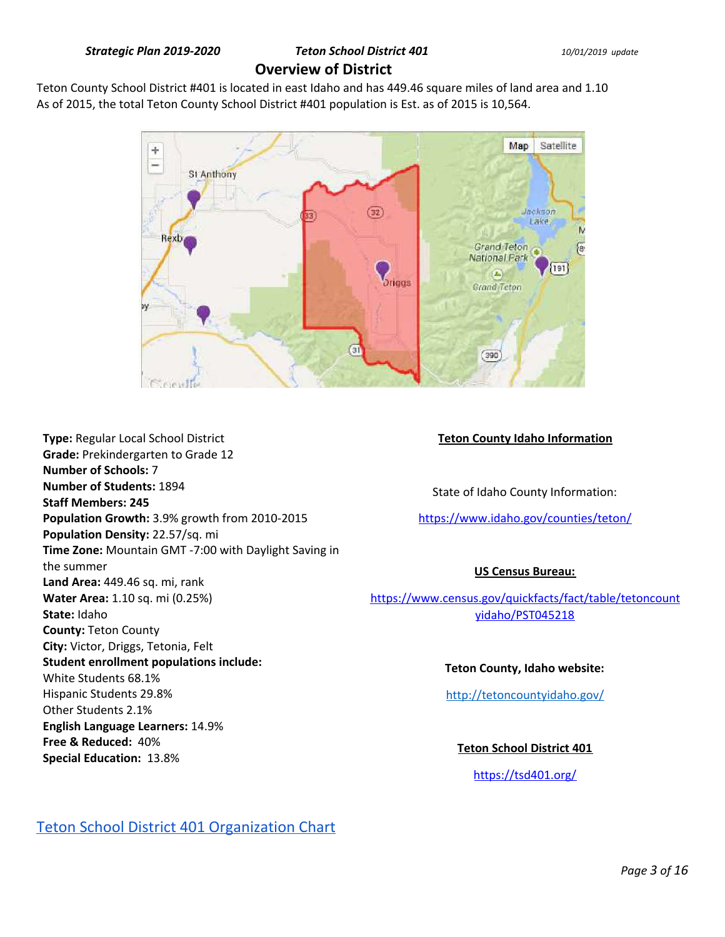# Teton County School District #401 is located in east Idaho and has 449.46 square miles of land area and 1.10 As of 2015, the total Teton County School District #401 population is Est. as of 2015 is 10,564.



**Type:** Regular Local School District **Grade:** Prekindergarten to Grade 12 **Number of Schools:** 7 **Number of Students:** 1894 **Staff Members: 245 Population Growth:** 3.9% growth from 2010-2015 **Population Density:** 22.57/sq. mi **Time Zone:** Mountain GMT -7:00 with Daylight Saving in the summer **Land Area:** 449.46 sq. mi, rank **Water Area:** 1.10 sq. mi (0.25%) **State:** Idaho **County:** Teton County **City:** Victor, Driggs, Tetonia, Felt **Student enrollment populations include:**  White Students 68.1% Hispanic Students 29.8% Other Students 2.1% **English Language Learners:** 14.9% **Free & Reduced:** 40% **Special Education:** 13.8%

# **Teton County Idaho Information**

State of Idaho County Information:

<https://www.idaho.gov/counties/teton/>

# **US Census Bureau:**

[https://www.census.gov/quickfacts/fact/table/tetoncount](https://www.census.gov/quickfacts/fact/table/tetoncountyidaho/PST045218) [yidaho/PST045218](https://www.census.gov/quickfacts/fact/table/tetoncountyidaho/PST045218)

# **Teton County, Idaho website:**

<http://tetoncountyidaho.gov/>

**Teton School District 401** 

<https://tsd401.org/>

# [Teton School District 401 Organization Chart](https://drive.google.com/open?id=15ul2oX83F_hlsha-73JHwhAyQQ_cNYRN)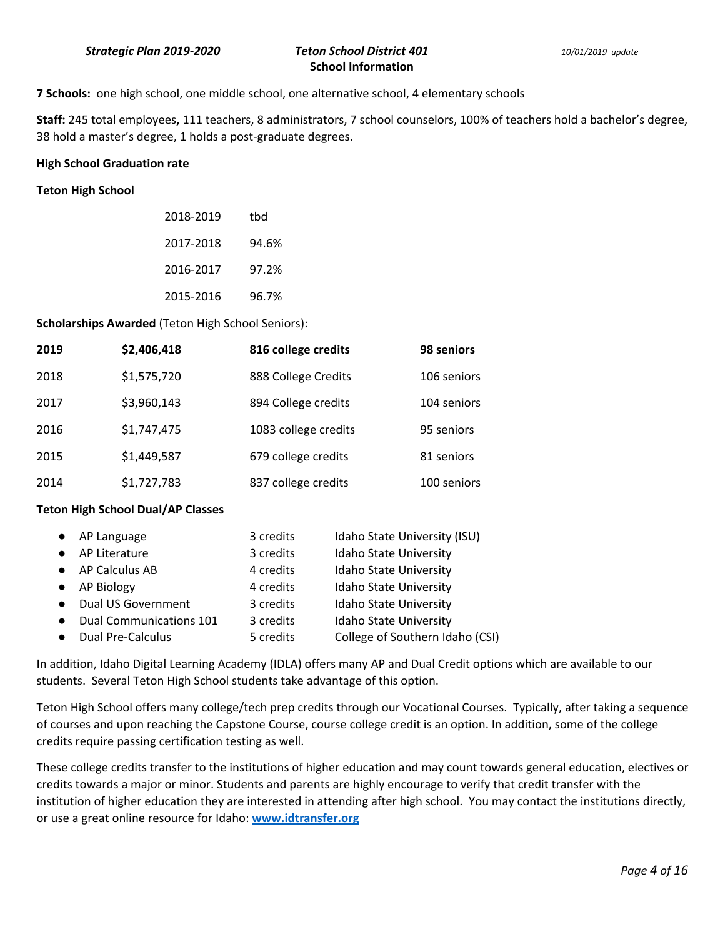**7 Schools:** one high school, one middle school, one alternative school, 4 elementary schools

**Staff:** 245 total employees**,** 111 teachers, 8 administrators, 7 school counselors, 100% of teachers hold a bachelor's degree, 38 hold a master's degree, 1 holds a post-graduate degrees.

#### **High School Graduation rate**

#### **Teton High School**

| 2018-2019 | thd   |
|-----------|-------|
| 2017-2018 | 94.6% |
| 2016-2017 | 97.2% |
| 2015-2016 | 96.7% |

**Scholarships Awarded** (Teton High School Seniors):

| 2019 | \$2,406,418 | 816 college credits  | 98 seniors  |
|------|-------------|----------------------|-------------|
| 2018 | \$1,575,720 | 888 College Credits  | 106 seniors |
| 2017 | \$3,960,143 | 894 College credits  | 104 seniors |
| 2016 | \$1,747,475 | 1083 college credits | 95 seniors  |
| 2015 | \$1,449,587 | 679 college credits  | 81 seniors  |
| 2014 | \$1,727,783 | 837 college credits  | 100 seniors |

#### **Teton High School Dual/AP Classes**

|           | • AP Language                  | 3 credits | Idaho State University (ISU)    |
|-----------|--------------------------------|-----------|---------------------------------|
| $\bullet$ | AP Literature                  | 3 credits | Idaho State University          |
|           | • AP Calculus AB               | 4 credits | Idaho State University          |
|           | • AP Biology                   | 4 credits | Idaho State University          |
|           | • Dual US Government           | 3 credits | Idaho State University          |
| $\bullet$ | <b>Dual Communications 101</b> | 3 credits | <b>Idaho State University</b>   |
| $\bullet$ | <b>Dual Pre-Calculus</b>       | 5 credits | College of Southern Idaho (CSI) |

In addition, Idaho Digital Learning Academy (IDLA) offers many AP and Dual Credit options which are available to our students. Several Teton High School students take advantage of this option.

Teton High School offers many college/tech prep credits through our Vocational Courses. Typically, after taking a sequence of courses and upon reaching the Capstone Course, course college credit is an option. In addition, some of the college credits require passing certification testing as well.

These college credits transfer to the institutions of higher education and may count towards general education, electives or credits towards a major or minor. Students and parents are highly encourage to verify that credit transfer with the institution of higher education they are interested in attending after high school. You may contact the institutions directly, or use a great online resource for Idaho: **www.idtransfer.org**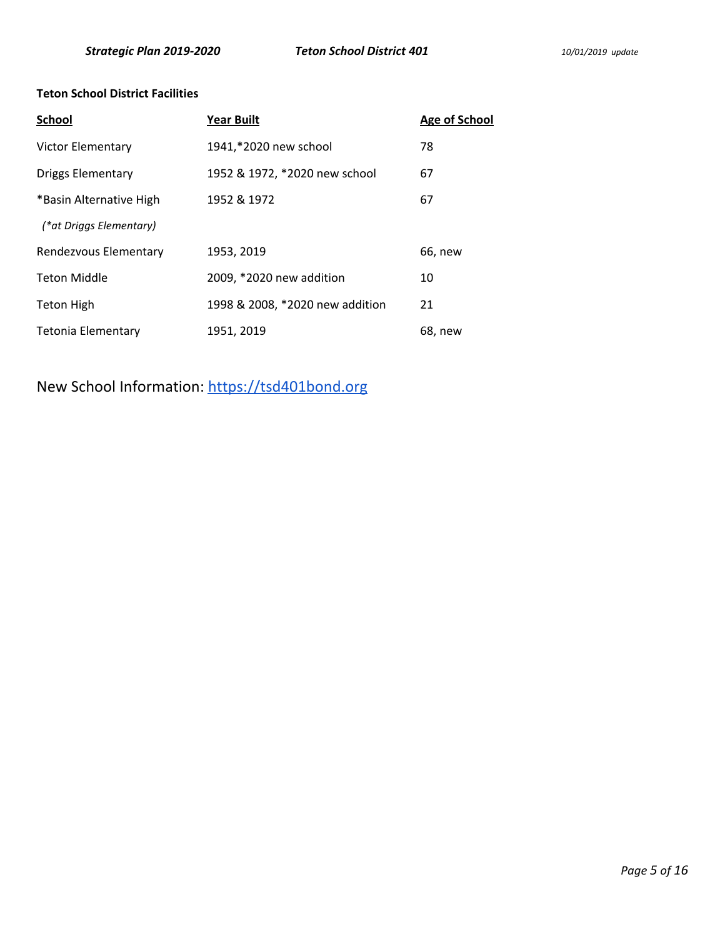# **Teton School District Facilities**

| <b>School</b>            | <b>Year Built</b>               | <b>Age of School</b> |
|--------------------------|---------------------------------|----------------------|
| Victor Elementary        | 1941,*2020 new school           | 78                   |
| <b>Driggs Elementary</b> | 1952 & 1972, *2020 new school   | 67                   |
| *Basin Alternative High  | 1952 & 1972                     | 67                   |
| (*at Driggs Elementary)  |                                 |                      |
| Rendezvous Elementary    | 1953, 2019                      | 66, new              |
| <b>Teton Middle</b>      | 2009, *2020 new addition        | 10                   |
| <b>Teton High</b>        | 1998 & 2008, *2020 new addition | 21                   |
| Tetonia Elementary       | 1951, 2019                      | 68, new              |

New School Information: [https://tsd401bond.org](https://tsd401bond.org/)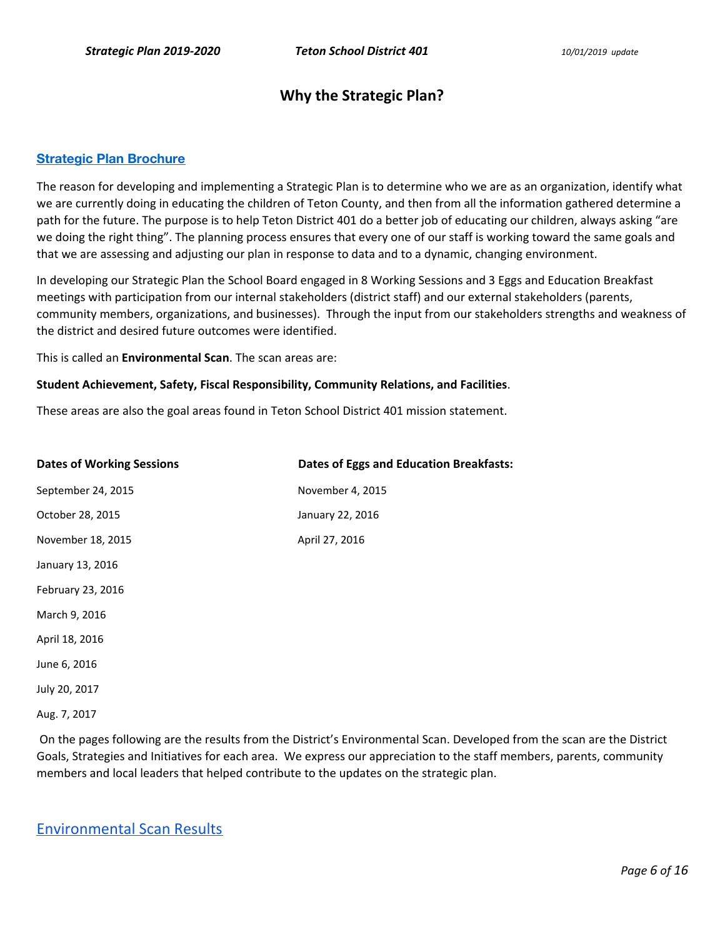# **Why the Strategic Plan?**

# **[Strategic Plan Brochure](https://drive.google.com/file/d/0B7DsLEZP_RoibVQtRmNmaVl1UHBZME1kRjEwUXgxcjhCZ2Vv/view?usp=sharing)**

The reason for developing and implementing a Strategic Plan is to determine who we are as an organization, identify what we are currently doing in educating the children of Teton County, and then from all the information gathered determine a path for the future. The purpose is to help Teton District 401 do a better job of educating our children, always asking "are we doing the right thing". The planning process ensures that every one of our staff is working toward the same goals and that we are assessing and adjusting our plan in response to data and to a dynamic, changing environment.

In developing our Strategic Plan the School Board engaged in 8 Working Sessions and 3 Eggs and Education Breakfast meetings with participation from our internal stakeholders (district staff) and our external stakeholders (parents, community members, organizations, and businesses). Through the input from our stakeholders strengths and weakness of the district and desired future outcomes were identified.

This is called an **Environmental Scan**. The scan areas are:

#### **Student Achievement, Safety, Fiscal Responsibility, Community Relations, and Facilities**.

These areas are also the goal areas found in Teton School District 401 mission statement.

| <b>Dates of Working Sessions</b> | <b>Dates of Eggs and Education Breakfasts:</b> |
|----------------------------------|------------------------------------------------|
| September 24, 2015               | November 4, 2015                               |
| October 28, 2015                 | January 22, 2016                               |
| November 18, 2015                | April 27, 2016                                 |
| January 13, 2016                 |                                                |
| February 23, 2016                |                                                |
| March 9, 2016                    |                                                |
| April 18, 2016                   |                                                |
| June 6, 2016                     |                                                |
| July 20, 2017                    |                                                |
|                                  |                                                |

Aug. 7, 2017

 On the pages following are the results from the District's Environmental Scan. Developed from the scan are the District Goals, Strategies and Initiatives for each area. We express our appreciation to the staff members, parents, community members and local leaders that helped contribute to the updates on the strategic plan.

# [Environmental Scan Results](https://docs.google.com/document/d/1EPfpKvEkqbCJnSCyS74-uy2O0buBTXa-fOh7y4_rbs4/edit?usp=sharing)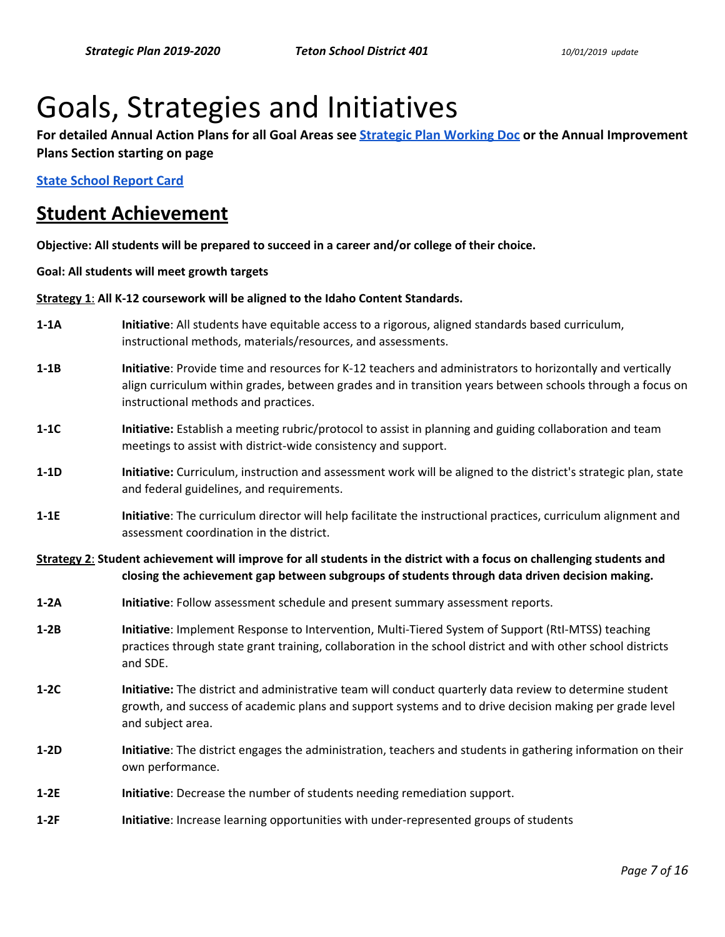# Goals, Strategies and Initiatives

**For detailed Annual Action Plans for all Goal Areas see [Strategic Plan Working Doc](https://docs.google.com/document/d/1UdBQ6MDJKGCCqXcR3KUIAaoxWyKXPVHcqfKDGY19Ntk/edit?usp=sharing) or the Annual Improvement Plans Section starting on page** 

**[State School Report Card](http://apps.sde.idaho.gov/ReportCard/)** 

# **Student Achievement**

**Objective: All students will be prepared to succeed in a career and/or college of their choice.** 

**Goal: All students will meet growth targets** 

**Strategy 1**: **All K-12 coursework will be aligned to the Idaho Content Standards.** 

- **1-1A Initiative**: All students have equitable access to a rigorous, aligned standards based curriculum, instructional methods, materials/resources, and assessments.
- **1-1B Initiative**: Provide time and resources for K-12 teachers and administrators to horizontally and vertically align curriculum within grades, between grades and in transition years between schools through a focus on instructional methods and practices.
- **1-1C Initiative:** Establish a meeting rubric/protocol to assist in planning and guiding collaboration and team meetings to assist with district-wide consistency and support.
- **1-1D** Initiative: Curriculum, instruction and assessment work will be aligned to the district's strategic plan, state and federal guidelines, and requirements.
- **1-1E Initiative**: The curriculum director will help facilitate the instructional practices, curriculum alignment and assessment coordination in the district.

**Strategy 2**: **Student achievement will improve for all students in the district with a focus on challenging students and closing the achievement gap between subgroups of students through data driven decision making.** 

- **1-2A Initiative**: Follow assessment schedule and present summary assessment reports.
- **1-2B Initiative**: Implement Response to Intervention, Multi-Tiered System of Support (RtI-MTSS) teaching practices through state grant training, collaboration in the school district and with other school districts and SDE.
- **1-2C Initiative:** The district and administrative team will conduct quarterly data review to determine student growth, and success of academic plans and support systems and to drive decision making per grade level and subject area.
- **1-2D Initiative**: The district engages the administration, teachers and students in gathering information on their own performance.
- **1-2E Initiative**: Decrease the number of students needing remediation support.
- **1-2F Initiative**: Increase learning opportunities with under-represented groups of students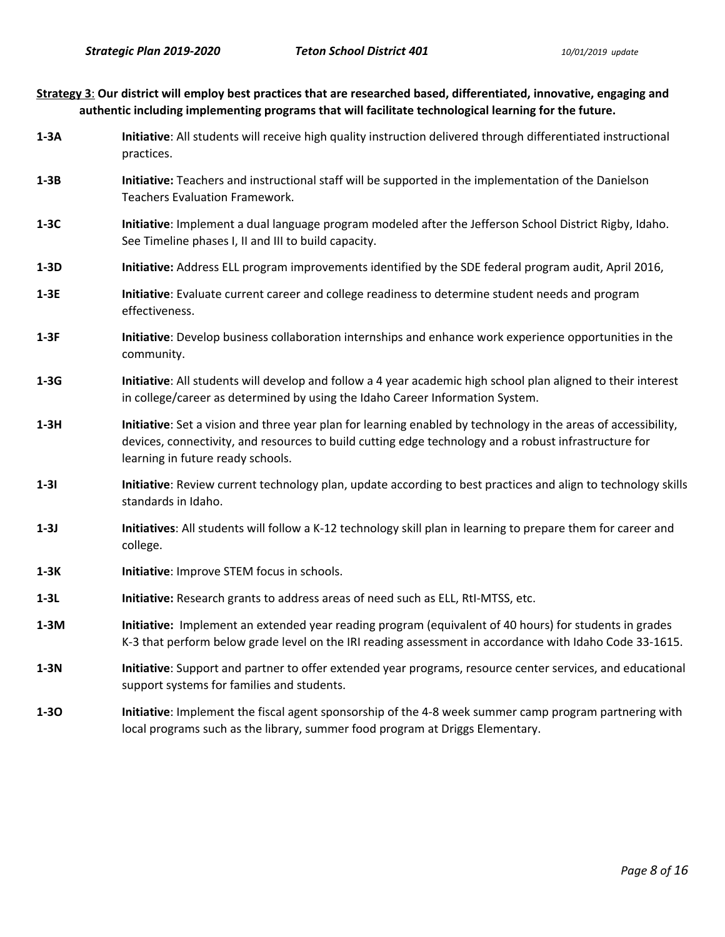| Strategy 3: Our district will employ best practices that are researched based, differentiated, innovative, engaging and |
|-------------------------------------------------------------------------------------------------------------------------|
| authentic including implementing programs that will facilitate technological learning for the future.                   |

- **1-3A Initiative**: All students will receive high quality instruction delivered through differentiated instructional practices.
- **1-3B Initiative:** Teachers and instructional staff will be supported in the implementation of the Danielson Teachers Evaluation Framework.
- **1-3C Initiative**: Implement a dual language program modeled after the Jefferson School District Rigby, Idaho. See Timeline phases I, II and III to build capacity.
- **1-3D Initiative:** Address ELL program improvements identified by the SDE federal program audit, April 2016,
- **1-3E Initiative**: Evaluate current career and college readiness to determine student needs and program effectiveness.
- **1-3F Initiative**: Develop business collaboration internships and enhance work experience opportunities in the community.
- **1-3G Initiative**: All students will develop and follow a 4 year academic high school plan aligned to their interest in college/career as determined by using the Idaho Career Information System.
- **1-3H Initiative**: Set a vision and three year plan for learning enabled by technology in the areas of accessibility, devices, connectivity, and resources to build cutting edge technology and a robust infrastructure for learning in future ready schools.
- **1-3I** Initiative: Review current technology plan, update according to best practices and align to technology skills standards in Idaho.
- **1-3J** Initiatives: All students will follow a K-12 technology skill plan in learning to prepare them for career and college.
- **1-3K** Initiative: Improve STEM focus in schools.
- **1-3L Initiative:** Research grants to address areas of need such as ELL, RtI-MTSS, etc.
- **1-3M Initiative:** Implement an extended year reading program (equivalent of 40 hours) for students in grades K-3 that perform below grade level on the IRI reading assessment in accordance with Idaho Code 33-1615.
- **1-3N Initiative**: Support and partner to offer extended year programs, resource center services, and educational support systems for families and students.
- **1-3O Initiative**: Implement the fiscal agent sponsorship of the 4-8 week summer camp program partnering with local programs such as the library, summer food program at Driggs Elementary.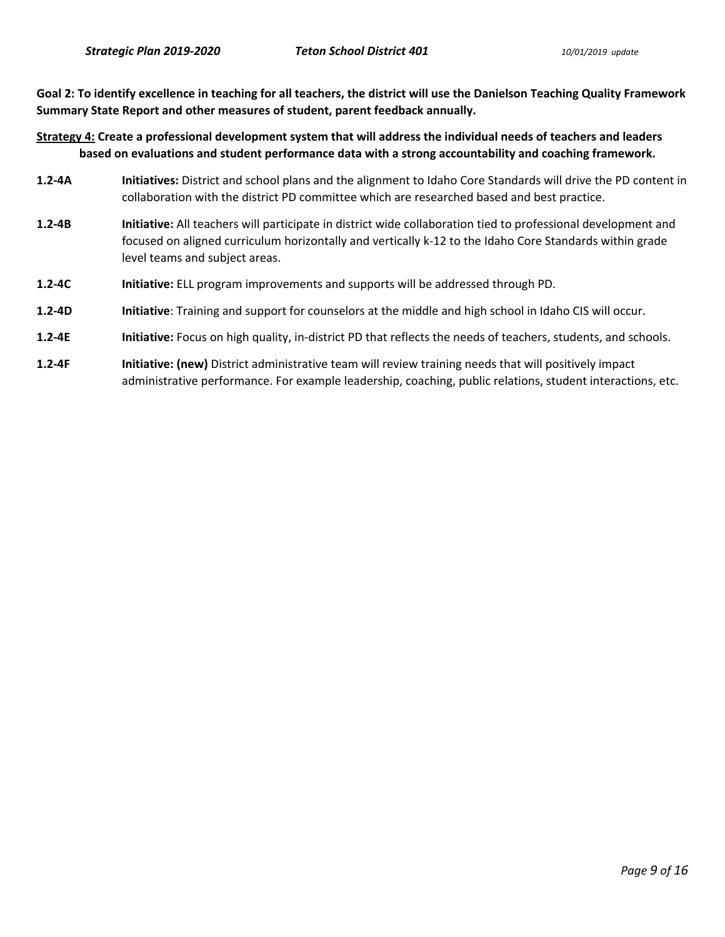**Goal 2: To identify excellence in teaching for all teachers, the district will use the Danielson Teaching Quality Framework Summary State Report and other measures of student, parent feedback annually.** 

**Strategy 4: Create a professional development system that will address the individual needs of teachers and leaders based on evaluations and student performance data with a strong accountability and coaching framework.** 

- **1.2-4A Initiatives:** District and school plans and the alignment to Idaho Core Standards will drive the PD content in collaboration with the district PD committee which are researched based and best practice.
- **1.2-4B Initiative:** All teachers will participate in district wide collaboration tied to professional development and focused on aligned curriculum horizontally and vertically k-12 to the Idaho Core Standards within grade level teams and subject areas.
- **1.2-4C Initiative:** ELL program improvements and supports will be addressed through PD.
- **1.2-4D Initiative**: Training and support for counselors at the middle and high school in Idaho CIS will occur.
- **1.2-4E Initiative:** Focus on high quality, in-district PD that reflects the needs of teachers, students, and schools.
- **1.2-4F Initiative: (new)** District administrative team will review training needs that will positively impact administrative performance. For example leadership, coaching, public relations, student interactions, etc.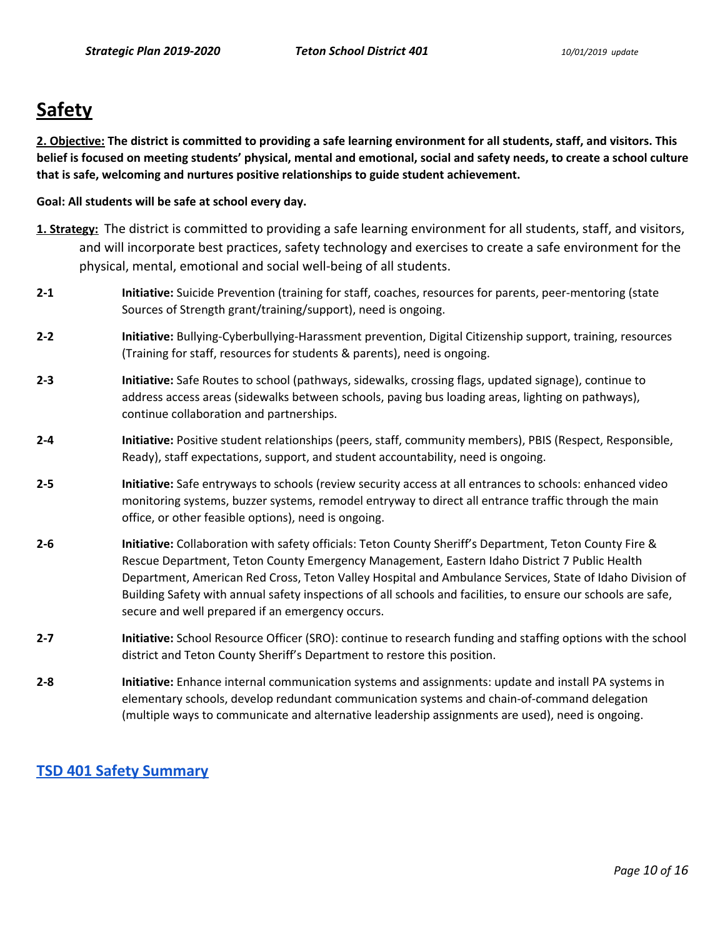# **Safety**

**2. Objective: The district is committed to providing a safe learning environment for all students, staff, and visitors. This belief is focused on meeting students' physical, mental and emotional, social and safety needs, to create a school culture that is safe, welcoming and nurtures positive relationships to guide student achievement.** 

# **Goal: All students will be safe at school every day.**

- **1. Strategy:** The district is committed to providing a safe learning environment for all students, staff, and visitors, and will incorporate best practices, safety technology and exercises to create a safe environment for the physical, mental, emotional and social well-being of all students.
- **2-1 Initiative:** Suicide Prevention (training for staff, coaches, resources for parents, peer-mentoring (state Sources of Strength grant/training/support), need is ongoing.
- **2-2 Initiative:** Bullying-Cyberbullying-Harassment prevention, Digital Citizenship support, training, resources (Training for staff, resources for students & parents), need is ongoing.
- **2-3 Initiative:** Safe Routes to school (pathways, sidewalks, crossing flags, updated signage), continue to address access areas (sidewalks between schools, paving bus loading areas, lighting on pathways), continue collaboration and partnerships.
- **2-4 Initiative:** Positive student relationships (peers, staff, community members), PBIS (Respect, Responsible, Ready), staff expectations, support, and student accountability, need is ongoing.
- **2-5 Initiative:** Safe entryways to schools (review security access at all entrances to schools: enhanced video monitoring systems, buzzer systems, remodel entryway to direct all entrance traffic through the main office, or other feasible options), need is ongoing.
- **2-6 Initiative:** Collaboration with safety officials: Teton County Sheriff's Department, Teton County Fire & Rescue Department, Teton County Emergency Management, Eastern Idaho District 7 Public Health Department, American Red Cross, Teton Valley Hospital and Ambulance Services, State of Idaho Division of Building Safety with annual safety inspections of all schools and facilities, to ensure our schools are safe, secure and well prepared if an emergency occurs.
- **2-7 Initiative:** School Resource Officer (SRO): continue to research funding and staffing options with the school district and Teton County Sheriff's Department to restore this position.
- **2-8 Initiative:** Enhance internal communication systems and assignments: update and install PA systems in elementary schools, develop redundant communication systems and chain-of-command delegation (multiple ways to communicate and alternative leadership assignments are used), need is ongoing.

# **[TSD 401 Safety Summary](https://tsd401.org/district/school-safety-security/)**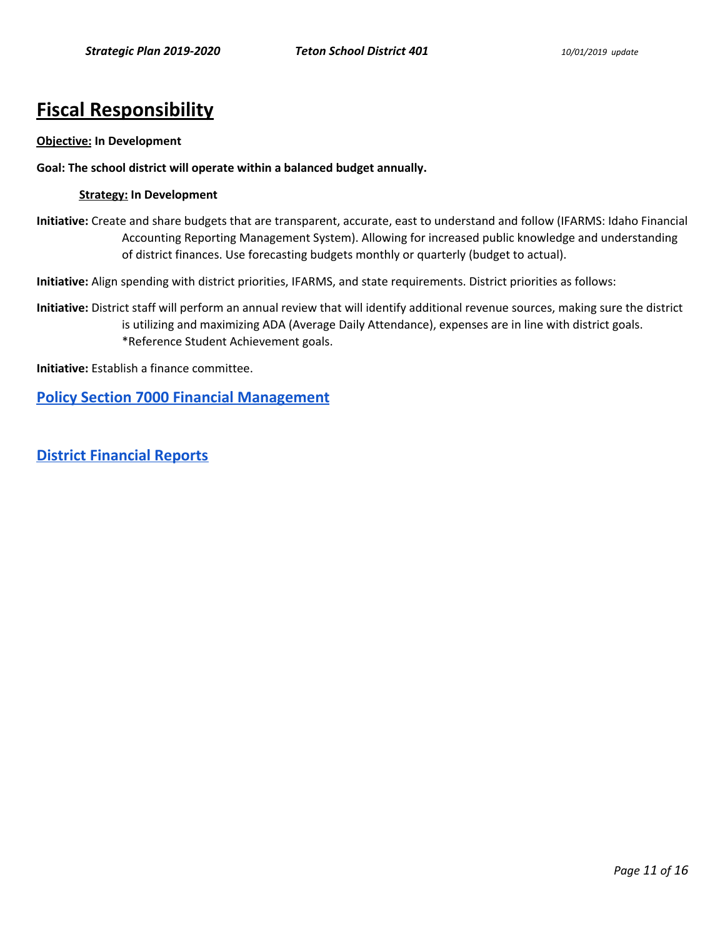# **Fiscal Responsibility**

#### **Objective: In Development**

#### **Goal: The school district will operate within a balanced budget annually.**

#### **Strategy: In Development**

**Initiative:** Create and share budgets that are transparent, accurate, east to understand and follow (IFARMS: Idaho Financial Accounting Reporting Management System). Allowing for increased public knowledge and understanding of district finances. Use forecasting budgets monthly or quarterly (budget to actual).

**Initiative:** Align spending with district priorities, IFARMS, and state requirements. District priorities as follows:

**Initiative:** District staff will perform an annual review that will identify additional revenue sources, making sure the district is utilizing and maximizing ADA (Average Daily Attendance), expenses are in line with district goals. \*Reference Student Achievement goals.

**Initiative:** Establish a finance committee.

**[Policy Section 7000 Financial Management](https://tsd401.org/policies/financial-management/)**

**[District Financial Reports](https://tsd401.org/financial-reports/)**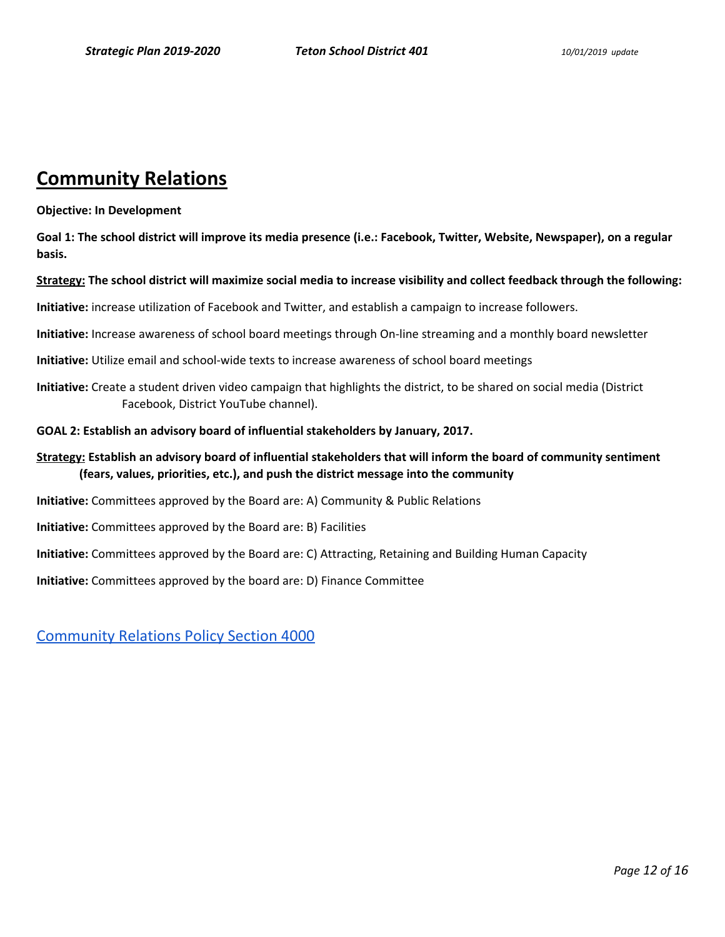# **Community Relations**

#### **Objective: In Development**

**Goal 1: The school district will improve its media presence (i.e.: Facebook, Twitter, Website, Newspaper), on a regular basis.** 

#### **Strategy: The school district will maximize social media to increase visibility and collect feedback through the following:**

**Initiative:** increase utilization of Facebook and Twitter, and establish a campaign to increase followers.

**Initiative:** Increase awareness of school board meetings through On-line streaming and a monthly board newsletter

**Initiative:** Utilize email and school-wide texts to increase awareness of school board meetings

**Initiative:** Create a student driven video campaign that highlights the district, to be shared on social media (District Facebook, District YouTube channel).

#### **GOAL 2: Establish an advisory board of influential stakeholders by January, 2017.**

**Strategy: Establish an advisory board of influential stakeholders that will inform the board of community sentiment (fears, values, priorities, etc.), and push the district message into the community** 

**Initiative:** Committees approved by the Board are: A) Community & Public Relations

**Initiative:** Committees approved by the Board are: B) Facilities

**Initiative:** Committees approved by the Board are: C) Attracting, Retaining and Building Human Capacity

**Initiative:** Committees approved by the board are: D) Finance Committee

[Community Relations Policy Section 4000](https://tsd401.org/policies/community-relations/)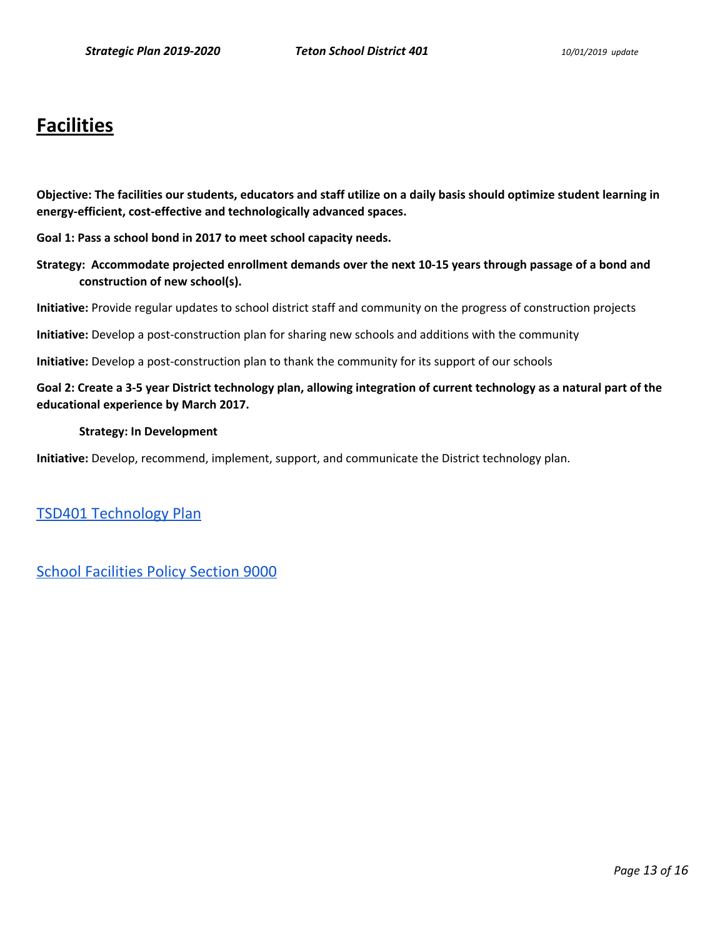# **Facilities**

**Objective: The facilities our students, educators and staff utilize on a daily basis should optimize student learning in energy-efficient, cost-effective and technologically advanced spaces.** 

**Goal 1: Pass a school bond in 2017 to meet school capacity needs.**

**Strategy: Accommodate projected enrollment demands over the next 10-15 years through passage of a bond and construction of new school(s).** 

**Initiative:** Provide regular updates to school district staff and community on the progress of construction projects

**Initiative:** Develop a post-construction plan for sharing new schools and additions with the community

**Initiative:** Develop a post-construction plan to thank the community for its support of our schools

# **Goal 2: Create a 3-5 year District technology plan, allowing integration of current technology as a natural part of the educational experience by March 2017.**

#### **Strategy: In Development**

**Initiative:** Develop, recommend, implement, support, and communicate the District technology plan.

[TSD401 Technology Plan](https://drive.google.com/open?id=11CWYCDNeYfo3fuuQWXuWSGai6xk4yLsUryUFc5-LIgU) 

[School Facilities Policy Section 9000](https://tsd401.org/policies/school-facilities/)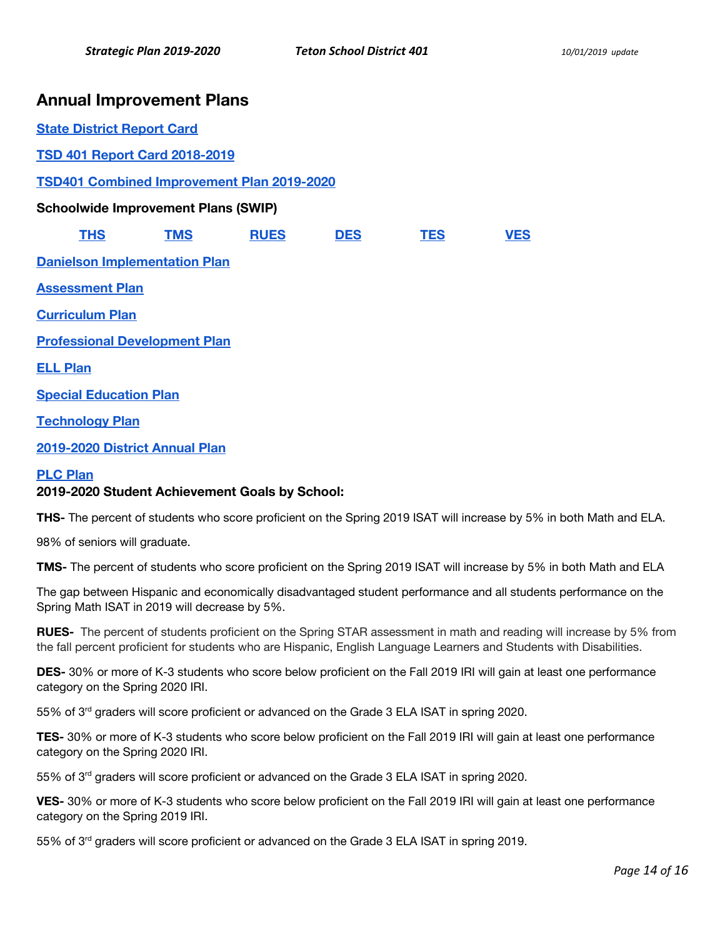# **Annual Improvement Plans**

| <b>State District Report Card</b>                 |                                      |             |            |            |            |
|---------------------------------------------------|--------------------------------------|-------------|------------|------------|------------|
| <b>TSD 401 Report Card 2018-2019</b>              |                                      |             |            |            |            |
| <b>TSD401 Combined Improvement Plan 2019-2020</b> |                                      |             |            |            |            |
| <b>Schoolwide Improvement Plans (SWIP)</b>        |                                      |             |            |            |            |
| <b>THS</b>                                        | <b>TMS</b>                           | <b>RUES</b> | <b>DES</b> | <b>TES</b> | <b>VES</b> |
|                                                   | <b>Danielson Implementation Plan</b> |             |            |            |            |
| <b>Assessment Plan</b>                            |                                      |             |            |            |            |
| <b>Curriculum Plan</b>                            |                                      |             |            |            |            |
| <b>Professional Development Plan</b>              |                                      |             |            |            |            |
| <b>ELL Plan</b>                                   |                                      |             |            |            |            |
| <b>Special Education Plan</b>                     |                                      |             |            |            |            |
| <b>Technology Plan</b>                            |                                      |             |            |            |            |
| 2019-2020 District Annual Plan                    |                                      |             |            |            |            |

# **[PLC Plan](https://drive.google.com/open?id=1bEhqC1WFtcdszKu-J6TtACpOvY9DWgGZj23aDxaigRY)**

# **2019-2020 Student Achievement Goals by School:**

**THS-** The percent of students who score proficient on the Spring 2019 ISAT will increase by 5% in both Math and ELA.

98% of seniors will graduate.

**TMS-** The percent of students who score proficient on the Spring 2019 ISAT will increase by 5% in both Math and ELA

The gap between Hispanic and economically disadvantaged student performance and all students performance on the Spring Math ISAT in 2019 will decrease by 5%.

**RUES-** The percent of students proficient on the Spring STAR assessment in math and reading will increase by 5% from the fall percent proficient for students who are Hispanic, English Language Learners and Students with Disabilities.

**DES-** 30% or more of K-3 students who score below proficient on the Fall 2019 IRI will gain at least one performance category on the Spring 2020 IRI.

55% of 3<sup>rd</sup> graders will score proficient or advanced on the Grade 3 ELA ISAT in spring 2020.

**TES-** 30% or more of K-3 students who score below proficient on the Fall 2019 IRI will gain at least one performance category on the Spring 2020 IRI.

55% of 3<sup>rd</sup> graders will score proficient or advanced on the Grade 3 ELA ISAT in spring 2020.

**VES-** 30% or more of K-3 students who score below proficient on the Fall 2019 IRI will gain at least one performance category on the Spring 2019 IRI.

55% of 3<sup>rd</sup> graders will score proficient or advanced on the Grade 3 ELA ISAT in spring 2019.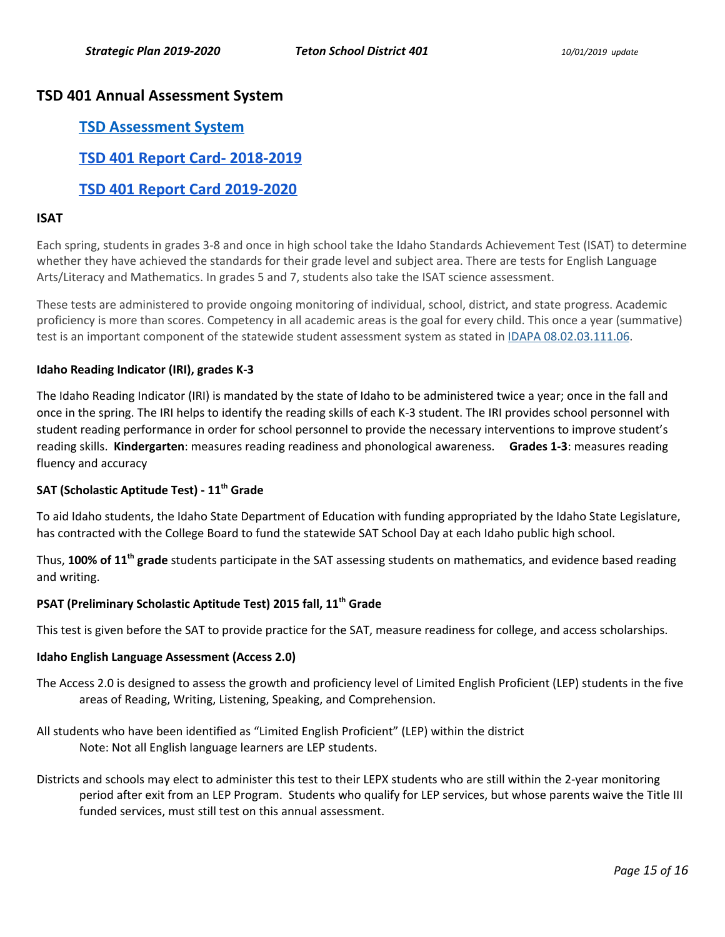# **TSD 401 Annual Assessment System**

# **[TSD Assessment System](https://docs.google.com/document/d/17hBK5ZV4TdIM6yhGSSr7XVZdts-W2zFTqWvbL5jwBEE/edit?usp=sharing)**

**[TSD 401 Report Card- 2018-2019](https://drive.google.com/open?id=1KzcMYj5SiUpivP9_ISrp-WbeRKxPicHi8AIH0R0CZ50)** 

# **[TSD 401 Report Card 2019-2020](https://docs.google.com/document/d/1lCvpJqoWT6CT6AlqfJzgj9p-D8RalcHvQ9jXz_Ps0aY/edit?usp=sharing)**

# **ISAT**

Each spring, students in grades 3-8 and once in high school take the Idaho Standards Achievement Test (ISAT) to determine whether they have achieved the standards for their grade level and subject area. There are tests for English Language Arts/Literacy and Mathematics. In grades 5 and 7, students also take the ISAT science assessment.

These tests are administered to provide ongoing monitoring of individual, school, district, and state progress. Academic proficiency is more than scores. Competency in all academic areas is the goal for every child. This once a year (summative) test is an important component of the statewide student assessment system as stated in [IDAPA 08.02.03.111.06.](https://adminrules.idaho.gov/rules/current/08/080203.pdf#page=21)

# **Idaho Reading Indicator (IRI), grades K-3**

The Idaho Reading Indicator (IRI) is mandated by the state of Idaho to be administered twice a year; once in the fall and once in the spring. The IRI helps to identify the reading skills of each K-3 student. The IRI provides school personnel with student reading performance in order for school personnel to provide the necessary interventions to improve student's reading skills. **Kindergarten**: measures reading readiness and phonological awareness. **Grades 1-3**: measures reading fluency and accuracy

# **SAT (Scholastic Aptitude Test) - 11th Grade**

To aid Idaho students, the Idaho State Department of Education with funding appropriated by the Idaho State Legislature, has contracted with the College Board to fund the statewide SAT School Day at each Idaho public high school.

Thus, **100% of 11th grade** students participate in the SAT assessing students on mathematics, and evidence based reading and writing.

# **PSAT (Preliminary Scholastic Aptitude Test) 2015 fall, 11th Grade**

This test is given before the SAT to provide practice for the SAT, measure readiness for college, and access scholarships.

# **Idaho English Language Assessment (Access 2.0)**

- The Access 2.0 is designed to assess the growth and proficiency level of Limited English Proficient (LEP) students in the five areas of Reading, Writing, Listening, Speaking, and Comprehension.
- All students who have been identified as "Limited English Proficient" (LEP) within the district Note: Not all English language learners are LEP students.
- Districts and schools may elect to administer this test to their LEPX students who are still within the 2-year monitoring period after exit from an LEP Program. Students who qualify for LEP services, but whose parents waive the Title III funded services, must still test on this annual assessment.